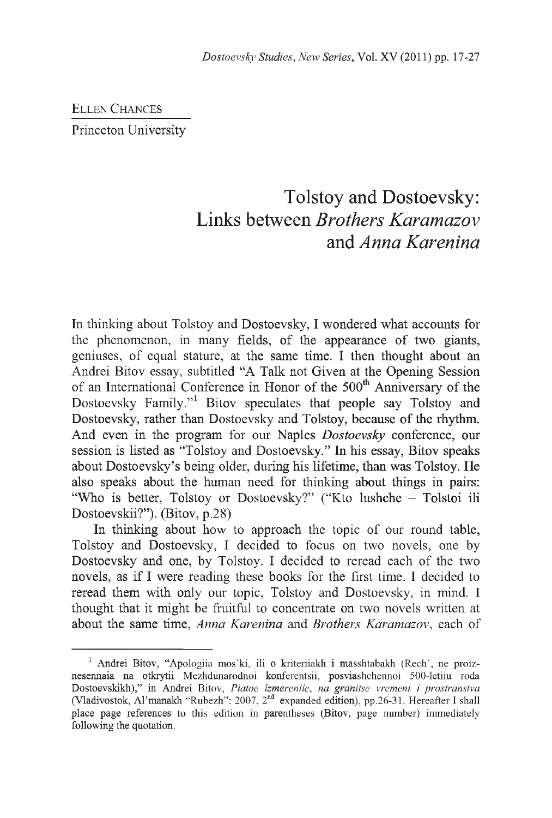ELLEN CHANCES Princeton University

## Tolstoy and Dostoevsky: Links between *Brothers Karamazov* and *Anna Karenina*

In thinking about Tolstoy and Dostoevsky, I wondered what accounts for the phenomenon, in many fields, of the appearance of two giants, geniuses, of equal stature, at the same time. I then thought about an Andrei Bitov essay, subtitled "A Talk not Given at the Opening Session of an International Conference in Honor of the 500<sup>th</sup> Anniversary of the Dostoevsky Family."<sup>1</sup> Bitov speculates that people say Tolstoy and Dostoevsky, rather than Dostoevsky and Tolstoy, because of the rhythm. And even in the program for our Naples *Dostoevsky* conference, our session is listed as "Tolstoy and Dostoevsky." In his essay, Bitov speaks about Dostoevsky's being older, during his lifetime, than was Tolstoy. He also speaks about the human need for thinking about things in pairs: "Who is better, Tolstoy or Dostoevsky?" ("Kto lushche - Tolstoi ili Dostoevskii?"). (Bitov, p.28)

In thinking about how to approach the topic of our round table, Tolstoy and Dostoevsky, I decided to focus on two novels, one by Dostoevsky and one, by Tolstoy. I decided to reread each of the two novels, as if I were reading these books for the first time. I decided to reread them with only our topic, Tolstoy and Dostoevsky, in mind. I thought that it might be fruitful to concentrate on two novels written at about the same time, *Anna Karenina* and *Brothers Karamazov,* each of

<sup>&</sup>lt;sup>1</sup> Andrei Bitov, "Apologiia mos'ki, ili o kriteriiakh i masshtabakh (Rech', ne proiznesennaia na otkrytii Mezhdunarodnoi konferentsii, posviashchennoi 500-letiiu roda Dostoevskikh)," in Andrei Bitov, *Piatoe izmereniie, na granitse vremeni i prostranstva* (Vladivostok, Al'manakh "Rubezh": 2007, 2nd expanded edition), pp.26-31. Hereafter I shall place page references to this edition in parentheses (Bitov, page number) immediately following the quotation.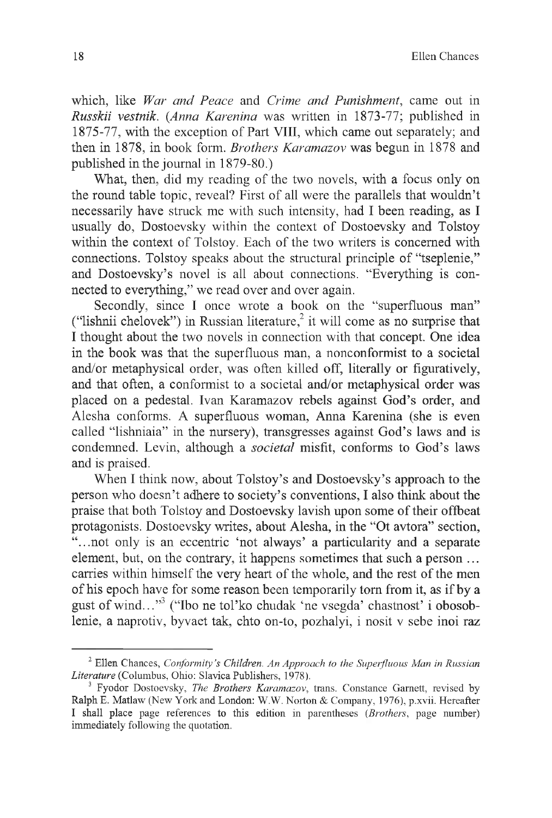which, like *War and Peace* and *Crime and Punishment,* came out in *Russkii vestnik. (Anna Karenina* was written in 1873-77; published in 1875-77, with the exception of Part VIII, which came out separately; and then in 1878, in book form. *Brothers Karamazov* was begun in 1878 and published in the journal in 1879-80.)

What, then, did my reading of the two novels, with a focus only on the round table topic, reveal? First of all were the parallels that wouldn't necessarily have struck me with such intensity, had I been reading, as I usually do, Dostoevsky within the context of Dostoevsky and Tolstoy within the context of Tolstoy. Each of the two writers is concerned with connections. Tolstoy speaks about the structural principle of "tseplenie," and Dostoevsky's novel is all about connections. "Everything is connected to everything," we read over and over again.

Secondly, since I once wrote a book on the "superfluous man" ("lishnii chelovek") in Russian literature,<sup>2</sup> it will come as no surprise that I thought about the two novels in connection with that concept. One idea in the book was that the superfluous man, a nonconformist to a societal and/or metaphysical order, was often killed off, literally or figuratively, and that often, a conformist to a societal and/or metaphysical order was placed on a pedestal. Ivan Karamazov rebels against God's order, and Alesha conforms. A superfluous woman, Anna Karenina (she is even called "lishniaia" in the nursery), transgresses against God's laws and is condemned. Levin, although a *societal* misfit, conforms to God's laws and is praised.

When I think now, about Tolstoy's and Dostoevsky's approach to the person who doesn't adhere to society's conventions, I also think about the praise that both Tolstoy and Dostoevsky lavish upon some of their offbeat protagonists. Dostoevsky writes, about Alesha, in the "Ot avtora" section, "...not only is an eccentric 'not always' a particularity and a separate element, but, on the contrary, it happens sometimes that such a person ... carries within himself the very heart of the whole, and the rest of the men of his epoch have for some reason been temporarily tom from it, as if by a gust of wind..."3 ("Ibo ne tol'ko chudak 'ne vsegda' chastnost' i obosoblenie, a naprotiv, byvaet tak, chto on-to, pozhalyi, i nosit v sebe inoi raz

<sup>2</sup> Ellen Chances, *Conformity's Children. An Approach to the Superfluous Man in Russian Literature* (Columbus, Ohio: Slavica Publishers, 1978).

<sup>3</sup> Fyodor Dostoevsky, *The Brothers Karamazov*, trans. Constance Garnett, revised by Ralph E. Matlaw (New York and London: W.W. Norton & Company, 1976), p.xvii. Hereafter I shall place page references to this edition in parentheses *(Brothers,* page number) immediately following the quotation.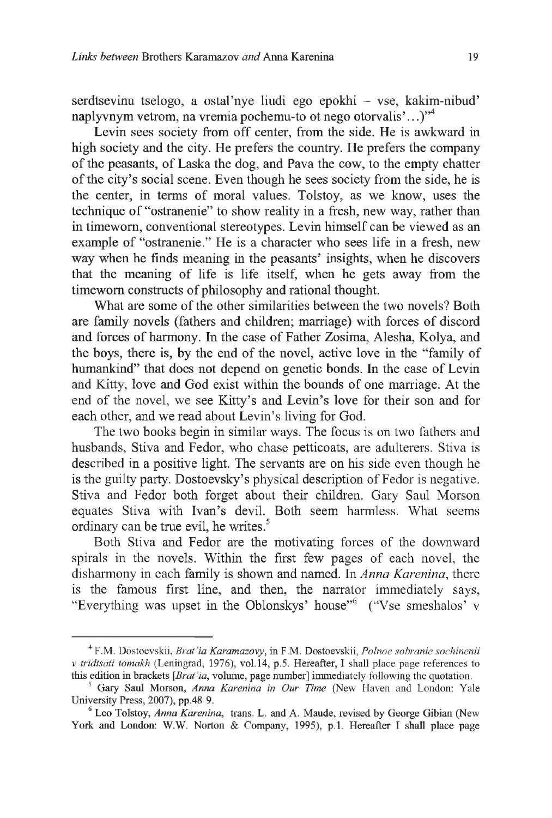serdtsevinu tselogo, a ostal'nye liudi ego epokhi – vse, kakim-nibud' naplyvnym vetrom, na vremia pochemu-to ot nego otorvalis'...)"<sup>4</sup>

Levin sees society from off center, from the side. He is awkward in high society and the city. He prefers the country. He prefers the company of the peasants, of Laska the dog, and Pava the cow, to the empty chatter of the city's social scene. Even though he sees society from the side, he is the center, in terms of moral values. Tolstoy, as we know, uses the technique of "ostranenie" to show reality in a fresh, new way, rather than in timeworn, conventional stereotypes. Levin himself can be viewed as an example of "ostranenie." He is a character who sees life in a fresh, new way when he finds meaning in the peasants' insights, when he discovers that the meaning of life is life itself, when he gets away from the timeworn constructs of philosophy and rational thought.

What are some of the other similarities between the two novels? Both are family novels (fathers and children; marriage) with forces of discord and forces of harmony. In the case of Father Zosima, Alesha, Kolya, and the boys, there is, by the end of the novel, active love in the "family of humankind" that does not depend on genetic bonds. In the case of Levin and Kitty, love and God exist within the bounds of one marriage. At the end of the novel, we see Kitty's and Levin's love for their son and for each other, and we read about Levin's living for God.

The two books begin in similar ways. The focus is on two fathers and husbands, Stiva and Fedor, who chase petticoats, are adulterers. Stiva is described in a positive light. The servants are on his side even though he is the guilty party. Dostoevsky's physical description of Fedor is negative. Stiva and Fedor both forget about their children. Gary Saul Morson equates Stiva with Ivan's devil. Both seem harmless. What seems ordinary can be true evil, he writes.<sup>5</sup>

Both Stiva and Fedor are the motivating forces of the downward spirals in the novels. Within the first few pages of each novel, the disharmony in each family is shown and named. In *Anna Karenina,* there is the famous first line, and then, the narrator immediately says, "Everything was upset in the Oblonskys' house"<sup>6</sup> ("Vse smeshalos' v

<sup>4</sup> F.M. Dostoevskii, *Brat 'ia Karamazovy,* in F.M. Dostoevskii, *Polnoe sobranie sochinenii* v *tridtsati tomakh* (Leningrad, 1976), vol.14, p.5. Hereafter, I shall place page references to this edition in brackets *[Brat Ία,* volume, page number] immediately following the quotation.

<sup>5</sup> Gary Saul Morson, *Anna Karenina in Our Time* (New Haven and London: Yale University Press, 2007), pp.48-9.

<sup>6</sup> Leo Tolstoy, *Anna Karenina,* trans. L. and A. Maude, revised by George Gibian (New York and London: W.W. Norton & Company, 1995), p.1. Hereafter I shall place page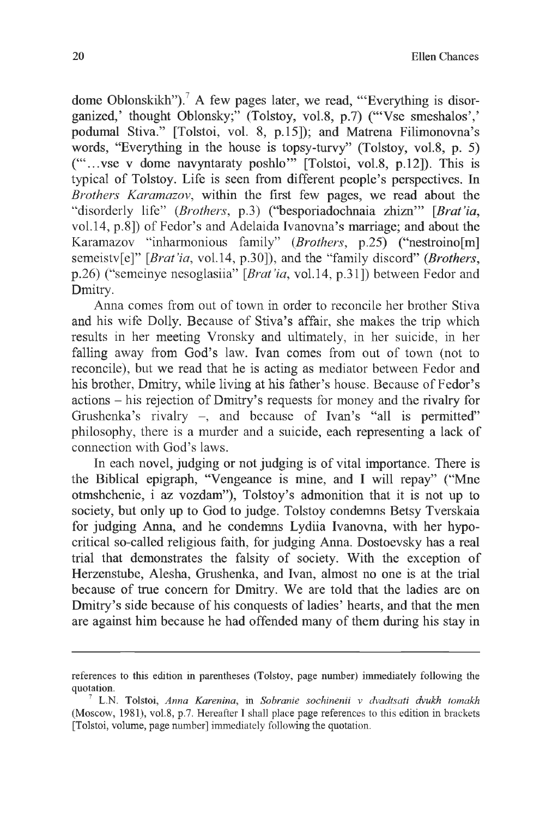dome Oblonskikh").<sup>7</sup> A few pages later, we read, "'Everything is disorganized,' thought Oblonsky;" (Tolstoy, vol.8, p.7) ("Vse smeshalos',' podumal Stiva." [Tolstoi, vol. 8, p.15]); and Matrena Filimonovna's words, "Everything in the house is topsy-turvy" (Tolstoy, vol.8, p. 5)  $("...$ vse v dome navyntaraty poshlo" [Tolstoi, vol.8, p.12]). This is typical of Tolstoy. Life is seen from different people's perspectives. In *Brothers Karamazov,* within the first few pages, we read about the "disorderly life" *{Brothers,* p.3) ("besporiadochnaia zhizn'" [*Brat'ia,* vol.14, p.8]) of Fedor's and Adelaida Ivanovna's marriage; and about the Karamazov "inharmonious family" *{Brothers,* p.25) ("nestroino[m] semeistv[e]" [*Brat'ia,* vol.14, p.30]), and the "family discord" *{Brothers,* p.26) ("semeinye nesoglasiia" [*Brat'ia,* vol.14, p.31]) between Fedor and Dmitry.

Anna comes from out of town in order to reconcile her brother Stiva and his wife Dolly. Because of Stiva's affair, she makes the trip which results in her meeting Vronsky and ultimately, in her suicide, in her falling away from God's law. Ivan comes from out of town (not to reconcile), but we read that he is acting as mediator between Fedor and his brother, Dmitry, while living at his father's house. Because of Fedor's actions - his rejection of Dmitry's requests for money and the rivalry for Grushenka's rivalry -, and because of Ivan's "all is permitted" philosophy, there is a murder and a suicide, each representing a lack of connection with God's laws.

In each novel, judging or not judging is of vital importance. There is the Biblical epigraph, "Vengeance is mine, and I will repay" ("Mne otmshchenie, i az vozdam"), Tolstoy's admonition that it is not up to society, but only up to God to judge. Tolstoy condemns Betsy Tverskaia for judging Anna, and he condemns Lydiia Ivanovna, with her hypocritical so-called religious faith, for judging Anna. Dostoevsky has a real trial that demonstrates the falsity of society. With the exception of Herzenstube, Alesha, Grushenka, and Ivan, almost no one is at the trial because of true concern for Dmitry. We are told that the ladies are on Dmitry's side because of his conquests of ladies' hearts, and that the men are against him because he had offended many of them during his stay in

references to this edition in parentheses (Tolstoy, page number) immediately following the quotation.

<sup>7</sup> L.N. Tolstoi, *Anna Karenina,* in *Sobranie sochinenii v dvadtsati dvukh tomakh* (Moscow, 1981), vol.8, p.7. Hereafter I shall place page references to this edition in brackets [Tolstoi, volume, page number] immediately following the quotation.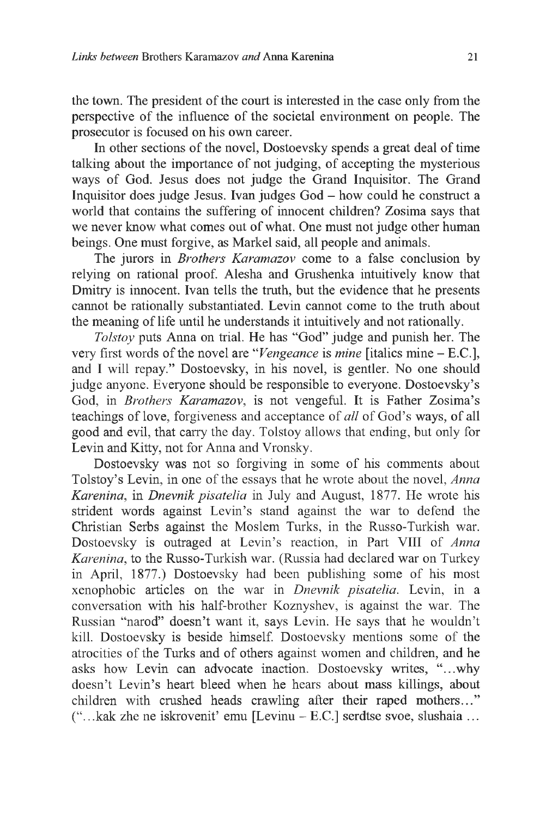the town. The president of the court is interested in the case only from the perspective of the influence of the societal environment on people. The prosecutor is focused on his own career.

In other sections of the novel, Dostoevsky spends a great deal of time talking about the importance of not judging, of accepting the mysterious ways of God. Jesus does not judge the Grand Inquisitor. The Grand Inquisitor does judge Jesus. Ivan judges God - how could he construct a world that contains the suffering of innocent children? Zosima says that we never know what comes out of what. One must not judge other human beings. One must forgive, as Markel said, all people and animals.

The jurors in *Brothers Karamazov* come to a false conclusion by relying on rational proof. Alesha and Grushenka intuitively know that Dmitry is innocent. Ivan tells the truth, but the evidence that he presents cannot be rationally substantiated. Levin cannot come to the truth about the meaning of life until he understands it intuitively and not rationally.

*Tolstoy* puts Anna on trial. He has "God" judge and punish her. The very first words of the novel are " *Vengeance* is *mine* [italics mine - E.C.], and I will repay." Dostoevsky, in his novel, is gentler. No one should judge anyone. Everyone should be responsible to everyone. Dostoevsky's God, in *Brothers Karamazov,* is not vengeful. It is Father Zosima's teachings of love, forgiveness and acceptance of *all* of God's ways, of all good and evil, that carry the day. Tolstoy allows that ending, but only for Levin and Kitty, not for Anna and Vronsky.

Dostoevsky was not so forgiving in some of his comments about Tolstoy's Levin, in one of the essays that he wrote about the novel, *Anna Karenina,* in *Dnevnik pisatelia* in July and August, 1877. He wrote his strident words against Levin's stand against the war to defend the Christian Serbs against the Moslem Turks, in the Russo-Turkish war. Dostoevsky is outraged at Levin's reaction, in Part VIII of *Anna Karenina,* to the Russo-Turkish war. (Russia had declared war on Turkey in April, 1877.) Dostoevsky had been publishing some of his most xenophobic articles on the war in *Dnevnik pisatelia.* Levin, in a conversation with his half-brother Koznyshev, is against the war. The Russian "narod" doesn't want it, says Levin. He says that he wouldn't kill. Dostoevsky is beside himself. Dostoevsky mentions some of the atrocities of the Turks and of others against women and children, and he asks how Levin can advocate inaction. Dostoevsky writes, "...why doesn't Levin's heart bleed when he hears about mass killings, about children with crushed heads crawling after their raped mothers..." ("...как zhe ne iskrovenit' emu [Levinu - E.C.] serdtse svoe, slushaia ...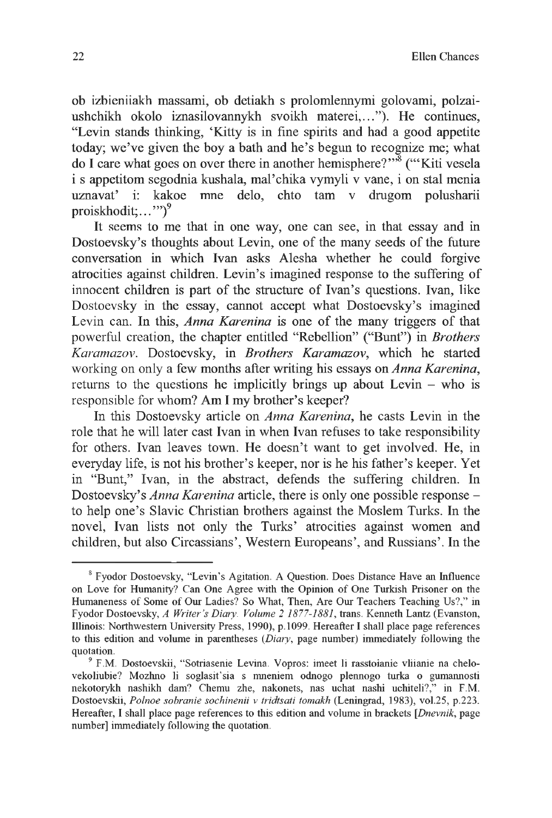ob izhicniiakh massami, ob detiakh s prolomlennymi golovami, polzaiushchikh okolo iznasilovannykh svoikh materei,..."). He continues, "Levin stands thinking, 'Kitty is in fine spirits and had a good appetite today; we've given the boy a bath and he's begun to recognize me; what do I care what goes on over there in another hemisphere?"<sup>3</sup> ("Kiti vesela i s appetitom segodnia kushala, mal'chika vymyli v vane, i on stal menia uznavat' i: kakoe mne delo, chto tam v drugom polusharii proiskhodit;..."")<sup>9</sup>

It seems to me that in one way, one can see, in that essay and in Dostoevsky's thoughts about Levin, one of the many seeds of the future conversation in which Ivan asks Alesha whether he could forgive atrocities against children. Levin's imagined response to the suffering of innocent children is part of the structure of Ivan's questions. Ivan, like Dostoevsky in the essay, cannot accept what Dostoevsky's imagined Levin can. In this, *Anna Karenina* is one of the many triggers of that powerful creation, the chapter entitled "Rebellion" ("Bunt") in *Brothers Karamazov.* Dostoevsky, in *Brothers Karamazov,* which he started working on only a few months after writing his essays on *Anna Karenina,* returns to the questions he implicitly brings up about Levin  $-$  who is responsible for whom? Am I my brother's keeper?

In this Dostoevsky article on *Anna Karenina,* he casts Levin in the role that he will later cast Ivan in when Ivan refuses to take responsibility for others. Ivan leaves town. He doesn't want to get involved. He, in everyday life, is not his brother's keeper, nor is he his father's keeper. Yet in "Bunt," Ivan, in the abstract, defends the suffering children. In Dostoevsky's *Anna Karenina* article, there is only one possible response to help one's Slavic Christian brothers against the Moslem Turks. In the novel, Ivan lists not only the Turks' atrocities against women and children, but also Circassians', Western Europeans', and Russians'. In the

s Fyodor Dostoevsky, "Levin's Agitation. A Question. Does Distance Have an Influence on Love for Humanity? Can One Agree with the Opinion of One Turkish Prisoner on the Humaneness of Some of Our Ladies? So What, Then, Are Our Teachers Teaching Us?," in Fyodor Dostoevsky, *A Writer's Diary. Volume 2 1877-1881,* trans. Kenneth Lantz (Evanston, Illinois: Northwestern University Press, 1990), p.1099. Hereafter I shall place page references to this edition and volume in parentheses *(Diaty,* page number) immediately following the quotation.

<sup>9</sup> F.M. Dostoevskii, "Sotriasenie Levina. Vopros: imeet li rasstoianie vliianie na chelovekoliubie? Mozhno li soglasit'sia s mneniem odnogo plennogo turka о gumannosti nekotorykh nashikh dam? Chemu zhe, nakonets, nas uchat nashi uchiteli?," in F.M. Dostoevskii, *Polnoe sobranie sochinenii v tridtsati tomakh* (Leningrad, 1983), vol.25, p.223. Hereafter, I shall place page references to this edition and volume in brackets *[Dnevnik,* page number] immediately following the quotation.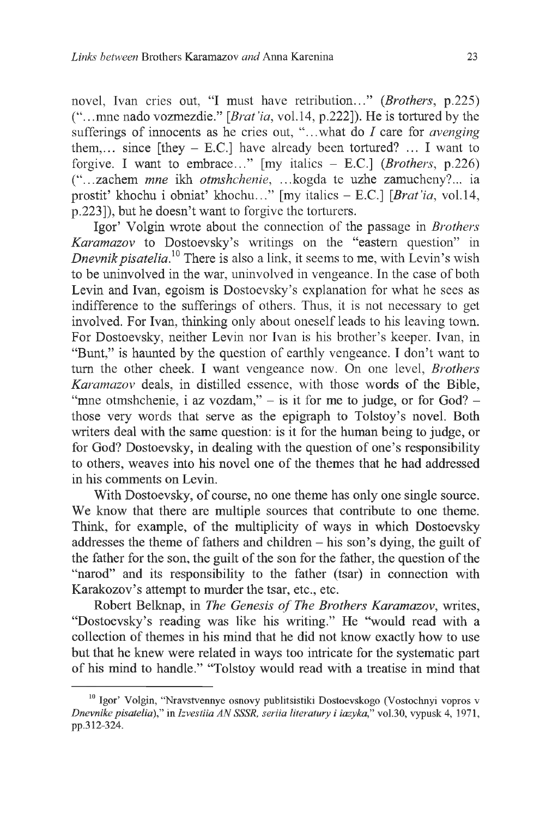novel, Ivan cries out, "I must have retribution..." (*Brothers*, p.225) ("...mne nado vozmezdie." *[Brat'ia,* vol.14, p.222]). He is tortured by the sufferings of innocents as he cries out, "...what do / care for *avenging* them,... since [they  $-$  E.C.] have already been tortured? ... I want to forgive. I want to embrace..." [my italics - E.C.] (*Brothers*, p.226) ("...zachem *mne* ikh *otmshchenie,* ...kogda te uzhe zamucheny?... ia prostit' khochu i obniat' khochu..." [my italics - E.C.] *[Brat'ia,* vol.14, p.223]), but he doesn't want to forgive the torturers.

Igor' Volgin wrote about the connection of the passage in *Brothers Karamazov* to Dostoevsky's writings on the "eastern question" in *Dnevnik pisatelia*.<sup>10</sup> There is also a link, it seems to me, with Levin's wish to be uninvolved in the war, uninvolved in vengeance. In the case of both Levin and Ivan, egoism is Dostoevsky's explanation for what he sees as indifference to the sufferings of others. Thus, it is not necessary to get involved. For Ivan, thinking only about oneself leads to his leaving town. For Dostoevsky, neither Levin nor Ivan is his brother's keeper. Ivan, in "Bunt," is haunted by the question of earthly vengeance. I don't want to turn the other cheek. I want vengeance now. On one level, *Brothers Karamazov* deals, in distilled essence, with those words of the Bible, "mne otmshchenie, i az vozdam,"  $-$  is it for me to judge, or for God?  $$ those very words that serve as the epigraph to Tolstoy's novel. Both writers deal with the same question: is it for the human being to judge, or for God? Dostoevsky, in dealing with the question of one's responsibility to others, weaves into his novel one of the themes that he had addressed in his comments on Levin.

With Dostoevsky, of course, no one theme has only one single source. We know that there are multiple sources that contribute to one theme. Think, for example, of the multiplicity of ways in which Dostoevsky addresses the theme of fathers and children  $-$  his son's dying, the guilt of the father for the son, the guilt of the son for the father, the question of the "narod" and its responsibility to the father (tsar) in connection with Karakozov's attempt to murder the tsar, etc., etc.

Robert Belknap, in *The Genesis of The Brothers Karamazov*, writes, "Dostoevsky's reading was like his writing." He "would read with a collection of themes in his mind that he did not know exactly how to use but that he knew were related in ways too intricate for the systematic part of his mind to handle." "Tolstoy would read with a treatise in mind that

<sup>&</sup>lt;sup>10</sup> Igor' Volgin, "Nravstvennye osnovy publitsistiki Dostoevskogo (Vostochnyi vopros v *Dnevnike pisatelia),"* in *Izvestiia AN SSSR, seriia literatury i iazyka,"* vol.30, vypusk 4, 1971, pp.312-324.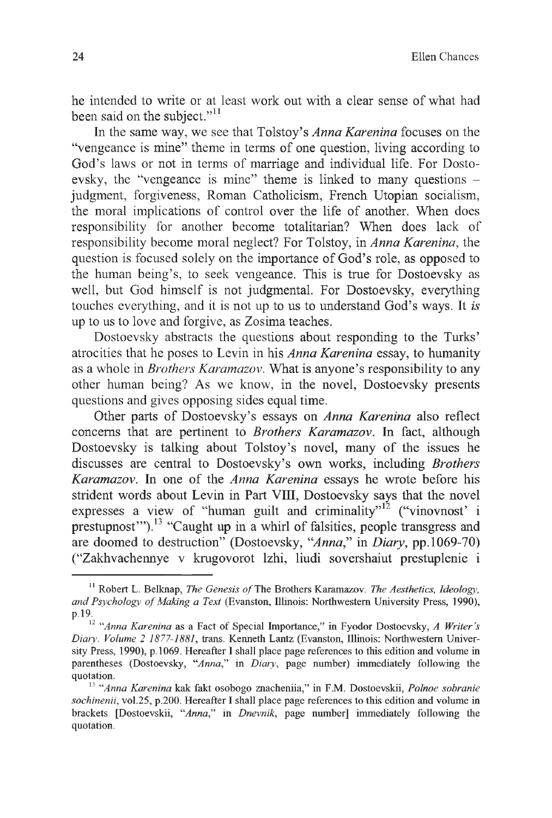he intended to write or at least work out with a clear sense of what had been said on the subject."<sup>11</sup>

In the same way, we see that Tolstoy's *Anna Karenina* focuses on the "vengeance is mine" theme in terms of one question, living according to God's laws or not in terms of marriage and individual life. For Dostoevsky, the "vengeance is mine" theme is linked to many questions judgment, forgiveness, Roman Catholicism, French Utopian socialism, the moral implications of control over the life of another. When does responsibility for another become totalitarian? When does lack of responsibility become moral neglect? For Tolstoy, in *Anna Karenina,* the question is focused solely on the importance of God's role, as opposed to the human being's, to seek vengeance. This is true for Dostoevsky as well, but God himself is not judgmental. For Dostoevsky, everything touches everything, and it is not up to us to understand God's ways. It *is* up to us to love and forgive, as Zosima teaches.

Dostoevsky abstracts the questions about responding to the Turks' atrocities that he poses to Levin in his *Anna Karenina* essay, to humanity as a whole in *Brothers Karamazov.* What is anyone's responsibility to any other human being? As we know, in the novel, Dostoevsky presents questions and gives opposing sides equal time.

Other parts of Dostoevsky's essays on *Anna Karenina* also reflect concerns that are pertinent to *Brothers Karamazov.* In fact, although Dostoevsky is talking about Tolstoy's novel, many of the issues he discusses are central to Dostoevsky's own works, including *Brothers Karamazov.* In one of the *Anna Karenina* essays he wrote before his strident words about Levin in Part VIII, Dostoevsky says that the novel expresses a view of "human guilt and criminality"<sup>12</sup> ("vinovnost' i prestupnost"").<sup>13</sup> "Caught up in a whirl of falsities, people transgress and are doomed to destruction" (Dostoevsky, *"Anna,"* in *Diary,* pp. 1069-70) ("Zakhvachennye v krugovorot lzhi, liudi sovershaiut prestuplenie i

<sup>&</sup>lt;sup>11</sup> Robert L. Belknap, *The Genesis of* The Brothers Karamazov. *The Aesthetics, Ideology*, and Psychology of Making a Text (Evanston, Illinois: Northwestern University Press, 1990), p.19.

<sup>12</sup> *"Anna Karenina* as a Fact of Special Importance," in Fyodor Dostoevsky, *A Writer's Diaty. Volume 2 1877-1881,* trans. Kenneth Lantz (Evanston, Illinois: Northwestern University Press, 1990), p.1069. Hereafter I shall place page references to this edition and volume in parentheses (Dostoevsky, *"Anna,"* in *Diaty,* page number) immediately following the quotation.

<sup>13</sup> *"Anna Karenina* как fakt osobogo znacheniia," in F.M. Dostoevskii, *Polnoe sobranie sochinenii,* vol.25, p.200. Hereafter I shall place page references to this edition and volume in brackets [Dostoevskii, *"Anna,"* in *Dnevnik,* page number] immediately following the quotation.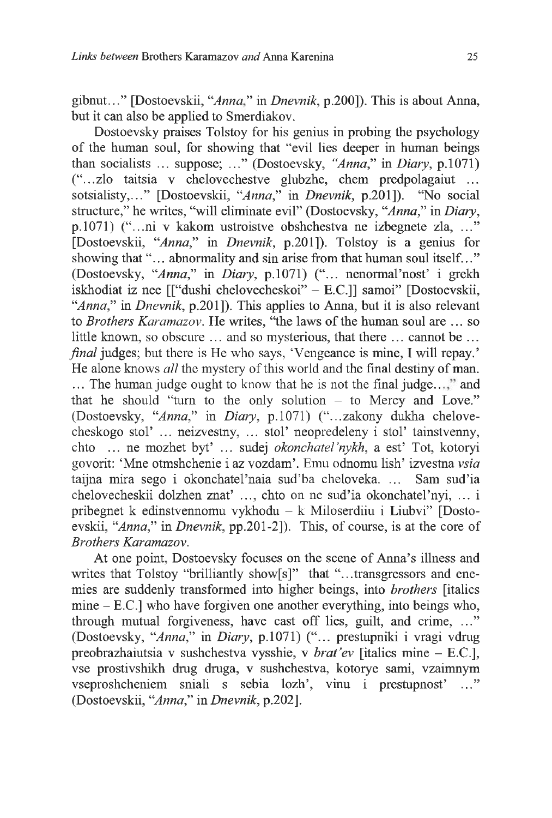gibnut..." [Dostoevskii, *"Anna"* in *Dnevnik,* p.200]). This is about Anna, but it can also be applied to Smerdiakov.

Dostoevsky praises Tolstoy for his genius in probing the psychology of the human soul, for showing that "evil lies deeper in human beings than socialists ... suppose; ..." (Dostoevsky, "*Anna*," in *Diary,* p.1071) ("...zlo taitsia v chelovechestve glubzhe, chem predpolagaiut ... sotsialisty,..." [Dostoevskii, *"Anna,"* in *Dnevnik,* p.201]). "No social structure," he writes, "will eliminate evil" (Dostoevsky, *"Anna,"* in *Diary,* p. 1071 ) ("...ni v kakom ustroistve obshchestva ne izbegnete zla, ..." [Dostoevskii, *"Anna,"* in *Dnevnik,* p.201]). Tolstoy is a genius for showing that "... abnormality and sin arise from that human soul itself..." (Dostoevsky, *"Anna,"* in *Diary,* p.1071) ("... nenormal'nost' i grekh iskhodiat iz nee [["dushi chelovecheskoi" - E.C.]] samoi" [Dostoevskii, *"Anna,"* in *Dnevnik,* p.201]). This applies to Anna, but it is also relevant to *Brothers Karamazov.* He writes, "the laws of the human soul are ... so little known, so obscure ... and so mysterious, that there ... cannot be ... *final* judges; but there is He who says, 'Vengeance is mine, I will repay.' He alone knows *all* the mystery of this world and the final destiny of man. ... The human judge ought to know that he is not the final judge...," and that he should "turn to the only solution  $-$  to Mercy and Love." (Dostoevsky, *"Anna,"* in *Diary,* p.1071) ("...zakony dukha chelovecheskogo stol'... neizvestny, ... stol' neopredeleny i stol' tainstvenny, chto ... ne mozhet byt' ... sudej *okonchate!'nykh,* a est' Tot, kotoryi govorit: 'Mne otmshchenie i az vozdam'. Emu odnomu lish' izvestna *vsia* taijna mira sego i okonchatel'naia sud'ba cheloveka. ... Sam sud'ia chelovecheskii dolzhen znat' ..., chto on ne sud'ia okonchatel'nyi, ... i pribegnet к edinstvennomu vykhodu - к Miloserdiiu i Liubvi" [Dostoevskii, *"Anna,"* in *Dnevnik,* pp.201-2]). This, of course, is at the core of *Brothers Karamazov.*

At one point, Dostoevsky focuses on the scene of Anna's illness and writes that Tolstoy "brilliantly show[s]" that "...transgressors and enemies are suddenly transformed into higher beings, into *brothers* [italics mine - E.C.] who have forgiven one another everything, into beings who, through mutual forgiveness, have cast off lies, guilt, and crime, ..." (Dostoevsky, *"Anna,"* in *Diary,* p.1071) ("... prestupniki i vragi vdrug preobrazhaiutsia v sushchestva vysshie, v *brat'ev* [italics mine - E.C.], vse prostivshikh drug druga, v sushchestva, kotorye sami, vzaimnym vseproshcheniem sniali s sebia lozh', vinu i prestupnost' ..." (Dostoevskii, *"Anna,"* in *Dnevnik,* p.202].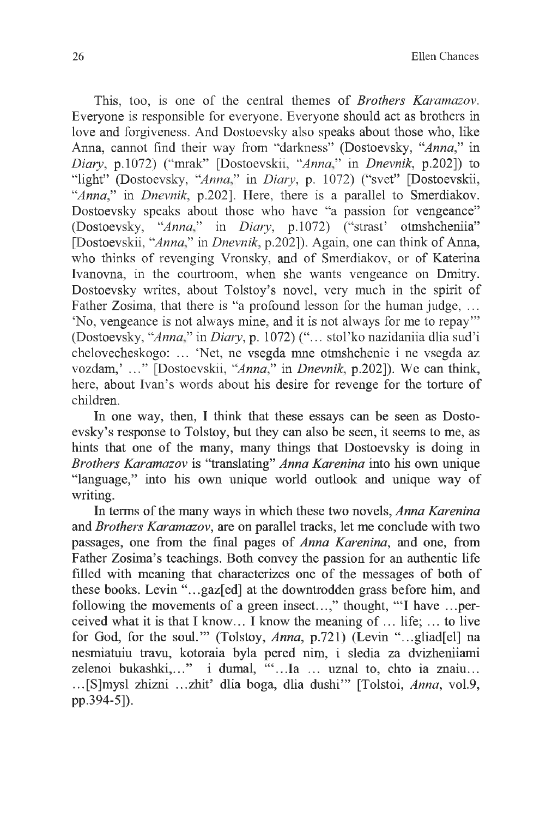This, too, is one of the central themes of *Brothers Karamazov.* Everyone is responsible for everyone. Everyone should act as brothers in love and forgiveness. And Dostoevsky also speaks about those who, like Anna, cannot find their way from "darkness" (Dostoevsky, *"Anna,"* in *Diary,* p.1072) ("mrak" [Dostoevskii, *"A nna"* in *Dnevnik,* p.202]) to "light" (Dostoevsky, "Anna," in Diary, p. 1072) ("svet" [Dostoevskii, "Anna," in *Dnevnik*, p.202]. Here, there is a parallel to Smerdiakov. Dostoevsky speaks about those who have "a passion for vengeance" (Dostoevsky, *"Anna"* in *Diary,* p.1072) ("strast' otmshcheniia" [Dostoevskii, *"Anna"* in *Dnevnik,* p.202]). Again, one can think of Anna, who thinks of revenging Vronsky, and of Smerdiakov, or of Katerina Ivanovna, in the courtroom, when she wants vengeance on Dmitry. Dostoevsky writes, about Tolstoy's novel, very much in the spirit of Father Zosima, that there is "a profound lesson for the human judge, ... 'No, vengeance is not always mine, and it is not always for me to repay'" (Dostoevsky, *"Anna"* in *Diary,* p. 1072) ("... stol'ko nazidaniia dlia sud'i chelovecheskogo: ... 'Net, ne vsegda mne otmshchenie i ne vsegda az vozdam,' ..." [Dostoevskii, *"Anna,"* in *Dnevnik,* p.202]). We can think, here, about Ivan's words about his desire for revenge for the torture of children.

In one way, then, I think that these essays can be seen as Dostoevsky's response to Tolstoy, but they can also be seen, it seems to me, as hints that one of the many, many things that Dostoevsky is doing in *Brothers Karamazov* is "translating" *Anna Karenina* into his own unique "language," into his own unique world outlook and unique way of writing.

In terms of the many ways in which these two novels, *Anna Karenina* and *Brothers Karamazov,* are on parallel tracks, let me conclude with two passages, one from the final pages of *Anna Karenina,* and one, from Father Zosima's teachings. Both convey the passion for an authentic life filled with meaning that characterizes one of the messages of both of these books. Levin "...gaz[ed] at the downtrodden grass before him, and following the movements of a green insect...," thought, "T have ...perceived what it is that I know... I know the meaning of  $\ldots$  life;  $\ldots$  to live for God, for the soul.'" (Tolstoy, *Anna,* p.721) (Levin "...gliad[el] na nesmiatuiu travu, kotoraia byla pered nim, i sledia za dvizheniiami zelenoi bukashki,..." i dumal, "...Ia ... uznal to, chto ia znaiu... ...[S]mysl zhizni ...zhit' dlia boga, dlia dushi'" [Tolstoi, *Anna,* vol.9, pp.394-5]).